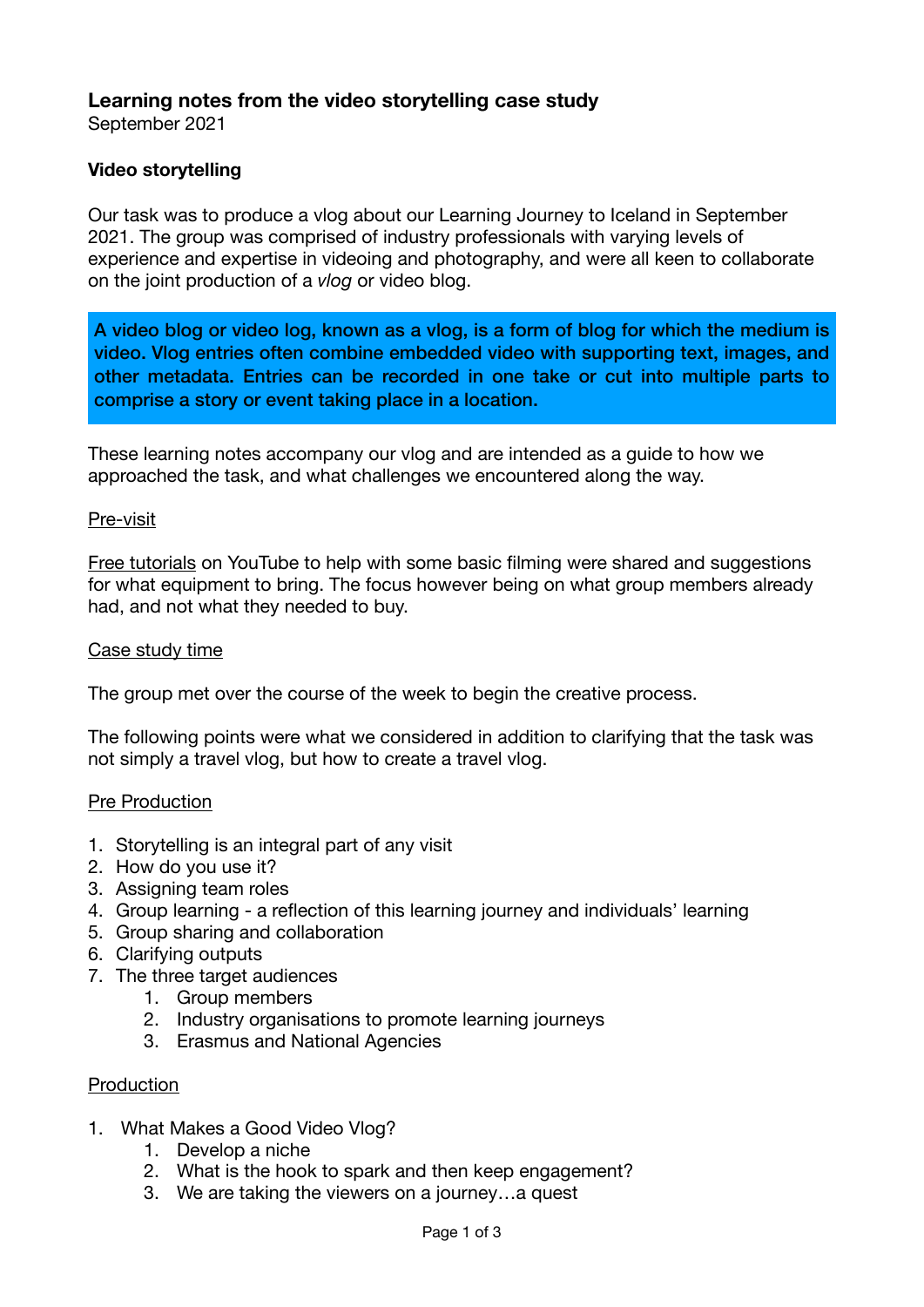## **Learning notes from the video storytelling case study**

September 2021

## **Video storytelling**

Our task was to produce a vlog about our Learning Journey to Iceland in September 2021. The group was comprised of industry professionals with varying levels of experience and expertise in videoing and photography, and were all keen to collaborate on the joint production of a *vlog* or video blog.

A video blog or video log, known as a vlog, is a form of blog for which the medium is video. Vlog entries often combine embedded video with supporting text, images, and other metadata. Entries can be recorded in one take or cut into multiple parts to comprise a story or event taking place in a location.

These learning notes accompany our vlog and are intended as a guide to how we approached the task, and what challenges we encountered along the way.

#### Pre-visit

[Free tutorials](https://youtu.be/gS9bl1xGcEA) on YouTube to help with some basic filming were shared and suggestions for what equipment to bring. The focus however being on what group members already had, and not what they needed to buy.

#### Case study time

The group met over the course of the week to begin the creative process.

The following points were what we considered in addition to clarifying that the task was not simply a travel vlog, but how to create a travel vlog.

### Pre Production

- 1. Storytelling is an integral part of any visit
- 2. How do you use it?
- 3. Assigning team roles
- 4. Group learning a reflection of this learning journey and individuals' learning
- 5. Group sharing and collaboration
- 6. Clarifying outputs
- 7. The three target audiences
	- 1. Group members
	- 2. Industry organisations to promote learning journeys
	- 3. Erasmus and National Agencies

#### **Production**

- 1. What Makes a Good Video Vlog?
	- 1. Develop a niche
	- 2. What is the hook to spark and then keep engagement?
	- 3. We are taking the viewers on a journey…a quest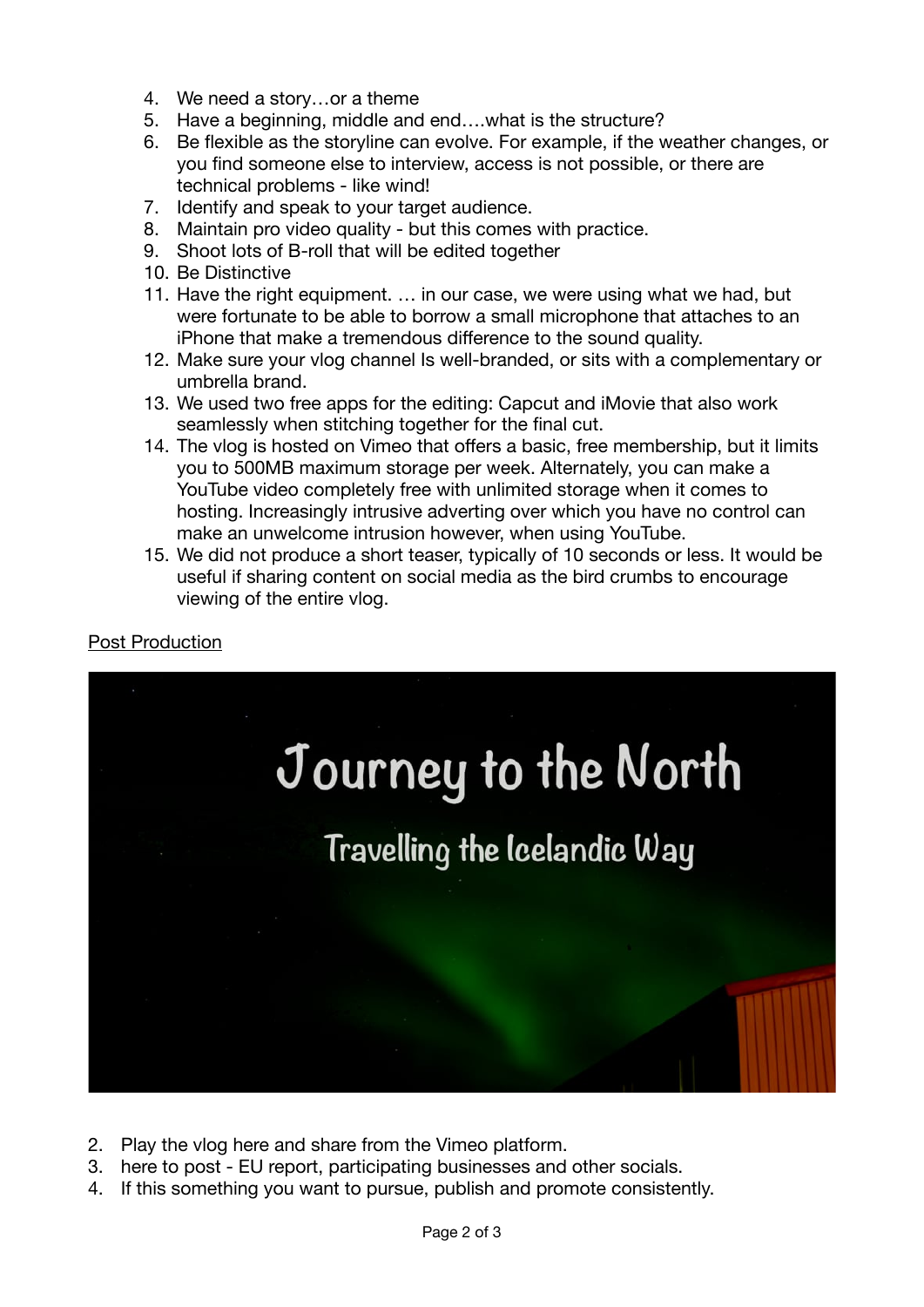- 4. We need a story…or a theme
- 5. Have a beginning, middle and end….what is the structure?
- 6. Be flexible as the storyline can evolve. For example, if the weather changes, or you find someone else to interview, access is not possible, or there are technical problems - like wind!
- 7. Identify and speak to your target audience.
- 8. Maintain pro video quality but this comes with practice.
- 9. Shoot lots of B-roll that will be edited together
- 10. Be Distinctive
- 11. Have the right equipment. … in our case, we were using what we had, but were fortunate to be able to borrow a small microphone that attaches to an iPhone that make a tremendous difference to the sound quality.
- 12. Make sure your vlog channel Is well-branded, or sits with a complementary or umbrella brand.
- 13. We used two free apps for the editing: Capcut and iMovie that also work seamlessly when stitching together for the final cut.
- 14. The vlog is hosted on Vimeo that offers a basic, free membership, but it limits you to 500MB maximum storage per week. Alternately, you can make a YouTube video completely free with unlimited storage when it comes to hosting. Increasingly intrusive adverting over which you have no control can make an unwelcome intrusion however, when using YouTube.
- 15. We did not produce a short teaser, typically of 10 seconds or less. It would be useful if sharing content on social media as the bird crumbs to encourage viewing of the entire vlog.

Post Production



- 2. Play the vlog here and share from the Vimeo platform.
- 3. here to post EU report, participating businesses and other socials.
- 4. If this something you want to pursue, publish and promote consistently.